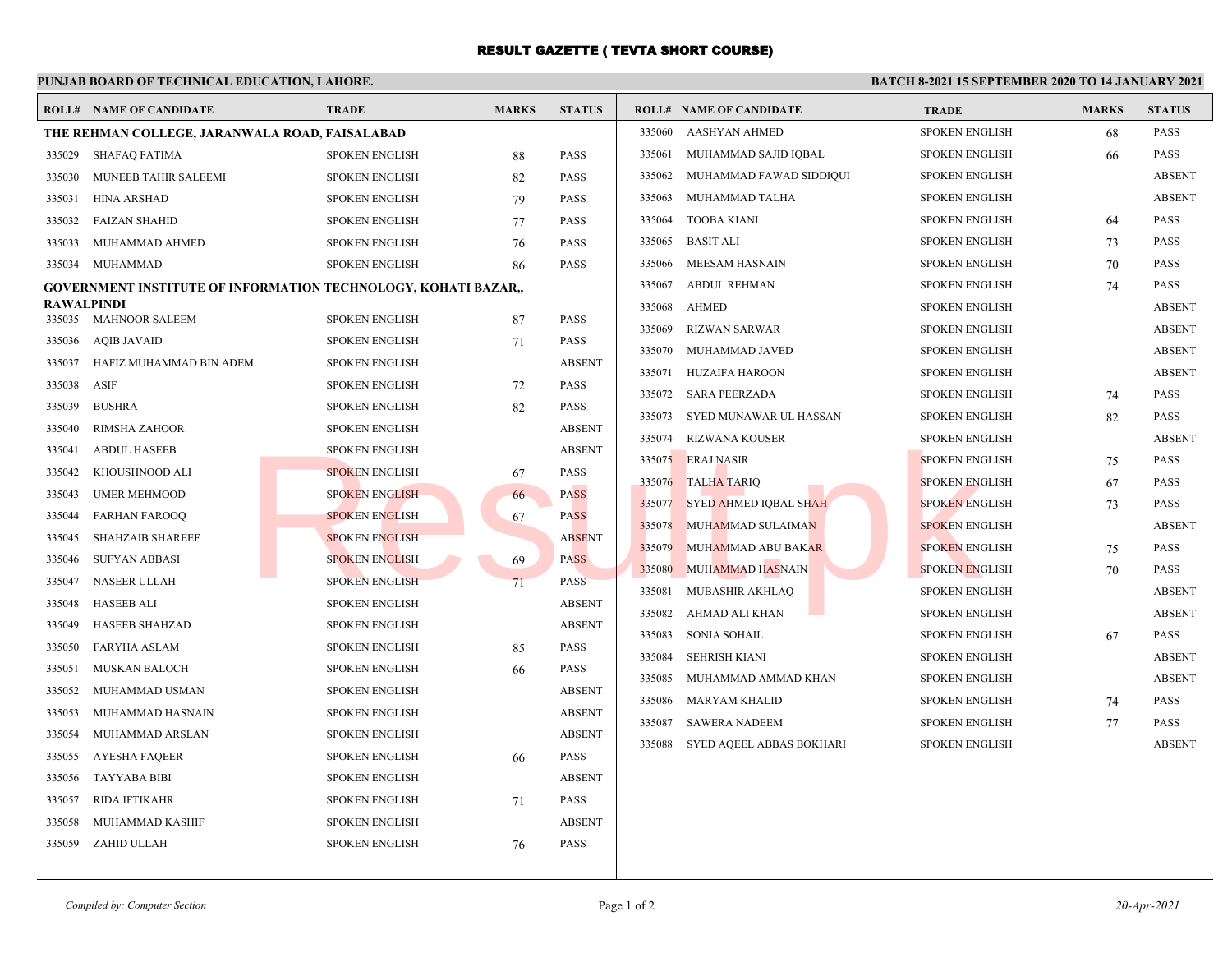## RESULT GAZETTE ( TEVTA SHORT COURSE)

|                                                                       |                                                |                       |              |                                |                                    |                       |              | <b>BATCH 8-2021 15 SEPTEMBER 2020 TO 14 JANUARY 2021</b> |  |  |  |  |  |
|-----------------------------------------------------------------------|------------------------------------------------|-----------------------|--------------|--------------------------------|------------------------------------|-----------------------|--------------|----------------------------------------------------------|--|--|--|--|--|
|                                                                       | <b>ROLL# NAME OF CANDIDATE</b>                 | <b>TRADE</b>          | <b>MARKS</b> | <b>STATUS</b>                  | <b>ROLL# NAME OF CANDIDATE</b>     | <b>TRADE</b>          | <b>MARKS</b> | <b>STATUS</b>                                            |  |  |  |  |  |
|                                                                       | THE REHMAN COLLEGE, JARANWALA ROAD, FAISALABAD |                       |              | <b>AASHYAN AHMED</b><br>335060 | <b>SPOKEN ENGLISH</b>              | 68                    | <b>PASS</b>  |                                                          |  |  |  |  |  |
| 335029                                                                | SHAFAQ FATIMA                                  | <b>SPOKEN ENGLISH</b> | 88           | <b>PASS</b>                    | 335061<br>MUHAMMAD SAJID IQBAL     | <b>SPOKEN ENGLISH</b> | 66           | <b>PASS</b>                                              |  |  |  |  |  |
| 335030                                                                | MUNEEB TAHIR SALEEMI                           | <b>SPOKEN ENGLISH</b> | 82           | <b>PASS</b>                    | 335062<br>MUHAMMAD FAWAD SIDDIQUI  | <b>SPOKEN ENGLISH</b> |              | <b>ABSENT</b>                                            |  |  |  |  |  |
| 335031                                                                | <b>HINA ARSHAD</b>                             | <b>SPOKEN ENGLISH</b> | 79           | <b>PASS</b>                    | 335063<br>MUHAMMAD TALHA           | <b>SPOKEN ENGLISH</b> |              | <b>ABSENT</b>                                            |  |  |  |  |  |
| 335032                                                                | <b>FAIZAN SHAHID</b>                           | <b>SPOKEN ENGLISH</b> | 77           | <b>PASS</b>                    | <b>TOOBA KIANI</b><br>335064       | <b>SPOKEN ENGLISH</b> | 64           | <b>PASS</b>                                              |  |  |  |  |  |
| 335033                                                                | MUHAMMAD AHMED                                 | <b>SPOKEN ENGLISH</b> | 76           | <b>PASS</b>                    | 335065<br><b>BASIT ALI</b>         | <b>SPOKEN ENGLISH</b> | 73           | <b>PASS</b>                                              |  |  |  |  |  |
| 335034                                                                | MUHAMMAD                                       | <b>SPOKEN ENGLISH</b> | 86           | <b>PASS</b>                    | 335066<br>MEESAM HASNAIN           | <b>SPOKEN ENGLISH</b> | 70           | <b>PASS</b>                                              |  |  |  |  |  |
| <b>GOVERNMENT INSTITUTE OF INFORMATION TECHNOLOGY, KOHATI BAZAR.,</b> |                                                |                       |              |                                | 335067<br>ABDUL REHMAN             | <b>SPOKEN ENGLISH</b> | 74           | <b>PASS</b>                                              |  |  |  |  |  |
| 335035                                                                | <b>RAWALPINDI</b><br>MAHNOOR SALEEM            | <b>SPOKEN ENGLISH</b> |              | <b>PASS</b>                    | 335068<br>AHMED                    | <b>SPOKEN ENGLISH</b> |              | <b>ABSENT</b>                                            |  |  |  |  |  |
| 335036                                                                |                                                |                       | 87           | <b>PASS</b>                    | 335069<br>RIZWAN SARWAR            | <b>SPOKEN ENGLISH</b> |              | <b>ABSENT</b>                                            |  |  |  |  |  |
|                                                                       | <b>AQIB JAVAID</b>                             | <b>SPOKEN ENGLISH</b> | 71           |                                | 335070 MUHAMMAD JAVED              | <b>SPOKEN ENGLISH</b> |              | <b>ABSENT</b>                                            |  |  |  |  |  |
| 335037                                                                | HAFIZ MUHAMMAD BIN ADEM                        | <b>SPOKEN ENGLISH</b> |              | <b>ABSENT</b>                  | HUZAIFA HAROON<br>335071           | <b>SPOKEN ENGLISH</b> |              | <b>ABSENT</b>                                            |  |  |  |  |  |
| 335038                                                                | ASIF                                           | <b>SPOKEN ENGLISH</b> | 72           | <b>PASS</b>                    | 335072<br><b>SARA PEERZADA</b>     | <b>SPOKEN ENGLISH</b> | 74           | <b>PASS</b>                                              |  |  |  |  |  |
| 335039                                                                | <b>BUSHRA</b>                                  | <b>SPOKEN ENGLISH</b> | 82           | <b>PASS</b>                    | 335073<br>SYED MUNAWAR UL HASSAN   | <b>SPOKEN ENGLISH</b> | 82           | <b>PASS</b>                                              |  |  |  |  |  |
| 335040                                                                | RIMSHA ZAHOOR                                  | <b>SPOKEN ENGLISH</b> |              | <b>ABSENT</b>                  | <b>RIZWANA KOUSER</b><br>335074    | <b>SPOKEN ENGLISH</b> |              | <b>ABSENT</b>                                            |  |  |  |  |  |
| 335041                                                                | <b>ABDUL HASEEB</b>                            | <b>SPOKEN ENGLISH</b> |              | <b>ABSENT</b>                  | 335075 ERAJ NASIR                  | <b>SPOKEN ENGLISH</b> | 75           | <b>PASS</b>                                              |  |  |  |  |  |
| 335042                                                                | KHOUSHNOOD ALI                                 | <b>SPOKEN ENGLISH</b> | 67           | <b>PASS</b>                    | 335076 TALHA TARIQ                 | <b>SPOKEN ENGLISH</b> | 67           | <b>PASS</b>                                              |  |  |  |  |  |
| 335043                                                                | <b>UMER MEHMOOD</b>                            | <b>SPOKEN ENGLISH</b> | 66           | <b>PASS</b>                    | 335077 SYED AHMED IQBAL SHAH       | <b>SPOKEN ENGLISH</b> | 73           | <b>PASS</b>                                              |  |  |  |  |  |
| 335044                                                                | <b>FARHAN FAROOQ</b>                           | <b>SPOKEN ENGLISH</b> | 67           | <b>PASS</b>                    | 335078 MUHAMMAD SULAIMAN           | <b>SPOKEN ENGLISH</b> |              | <b>ABSENT</b>                                            |  |  |  |  |  |
| 335045                                                                | <b>SHAHZAIB SHAREEF</b>                        | <b>SPOKEN ENGLISH</b> |              | <b>ABSENT</b>                  | 335079 MUHAMMAD ABU BAKAR          | <b>SPOKEN ENGLISH</b> | 75           | <b>PASS</b>                                              |  |  |  |  |  |
| 335046                                                                | <b>SUFYAN ABBASI</b>                           | <b>SPOKEN ENGLISH</b> | 69           | <b>PASS</b>                    | 335080 MUHAMMAD HASNAIN            | <b>SPOKEN ENGLISH</b> | 70           | <b>PASS</b>                                              |  |  |  |  |  |
| 335047                                                                | <b>NASEER ULLAH</b>                            | <b>SPOKEN ENGLISH</b> | 71           | <b>PASS</b>                    | 335081<br>MUBASHIR AKHLAQ          | <b>SPOKEN ENGLISH</b> |              | <b>ABSENT</b>                                            |  |  |  |  |  |
| 335048                                                                | <b>HASEEB ALI</b>                              | <b>SPOKEN ENGLISH</b> |              | <b>ABSENT</b>                  | AHMAD ALI KHAN<br>335082           | <b>SPOKEN ENGLISH</b> |              | <b>ABSENT</b>                                            |  |  |  |  |  |
| 335049                                                                | <b>HASEEB SHAHZAD</b>                          | <b>SPOKEN ENGLISH</b> |              | <b>ABSENT</b>                  | 335083<br><b>SONIA SOHAIL</b>      | <b>SPOKEN ENGLISH</b> | 67           | <b>PASS</b>                                              |  |  |  |  |  |
| 335050                                                                | <b>FARYHA ASLAM</b>                            | <b>SPOKEN ENGLISH</b> | 85           | <b>PASS</b>                    | 335084<br>SEHRISH KIANI            | <b>SPOKEN ENGLISH</b> |              | <b>ABSENT</b>                                            |  |  |  |  |  |
| 335051                                                                | <b>MUSKAN BALOCH</b>                           | <b>SPOKEN ENGLISH</b> | 66           | <b>PASS</b>                    | 335085<br>MUHAMMAD AMMAD KHAN      | <b>SPOKEN ENGLISH</b> |              | <b>ABSENT</b>                                            |  |  |  |  |  |
| 335052                                                                | MUHAMMAD USMAN                                 | <b>SPOKEN ENGLISH</b> |              | <b>ABSENT</b>                  | 335086<br>MARYAM KHALID            | <b>SPOKEN ENGLISH</b> | 74           | <b>PASS</b>                                              |  |  |  |  |  |
| 335053                                                                | MUHAMMAD HASNAIN                               | <b>SPOKEN ENGLISH</b> |              | <b>ABSENT</b>                  | 335087<br><b>SAWERA NADEEM</b>     | <b>SPOKEN ENGLISH</b> | 77           | <b>PASS</b>                                              |  |  |  |  |  |
| 335054                                                                | MUHAMMAD ARSLAN                                | <b>SPOKEN ENGLISH</b> |              | <b>ABSENT</b>                  | SYED AQEEL ABBAS BOKHARI<br>335088 | <b>SPOKEN ENGLISH</b> |              | <b>ABSENT</b>                                            |  |  |  |  |  |
| 335055                                                                | <b>AYESHA FAQEER</b>                           | <b>SPOKEN ENGLISH</b> | 66           | <b>PASS</b>                    |                                    |                       |              |                                                          |  |  |  |  |  |
| 335056                                                                | <b>TAYYABA BIBI</b>                            | <b>SPOKEN ENGLISH</b> |              | <b>ABSENT</b>                  |                                    |                       |              |                                                          |  |  |  |  |  |
| 335057                                                                | <b>RIDA IFTIKAHR</b>                           | <b>SPOKEN ENGLISH</b> | 71           | <b>PASS</b>                    |                                    |                       |              |                                                          |  |  |  |  |  |
| 335058                                                                | MUHAMMAD KASHIF                                | <b>SPOKEN ENGLISH</b> |              | <b>ABSENT</b>                  |                                    |                       |              |                                                          |  |  |  |  |  |
| 335059                                                                | ZAHID ULLAH                                    | <b>SPOKEN ENGLISH</b> | 76           | <b>PASS</b>                    |                                    |                       |              |                                                          |  |  |  |  |  |